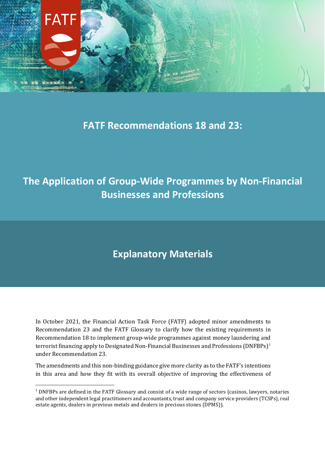

### **FATF Recommendations 18 and 23:**

# **The Application of Group-Wide Programmes by Non-Financial Businesses and Professions**

## **Explanatory Materials**

In October 2021, the Financial Action Task Force (FATF) adopted minor amendments to Recommendation 23 and the FATF Glossary to clarify how the existing requirements in Recommendation 18 to implement group-wide programmes against money laundering and terrorist financing apply to Designated Non-Financial Businesses and Professions (DNFBPs)<sup>[1](#page-0-0)</sup> under Recommendation 23.

The amendments and this non-binding guidance give more clarity as to the FATF's intentions in this area and how they fit with its overall objective of improving the effectiveness of

<span id="page-0-0"></span> $1$  DNFBPs are defined in the FATF Glossary and consist of a wide range of sectors (casinos, lawyers, notaries and other independent legal practitioners and accountants, trust and company service providers (TCSPs), real estate agents, dealers in previous metals and dealers in precious stones (DPMS)).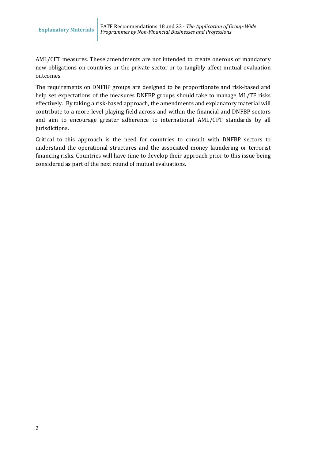AML/CFT measures. These amendments are not intended to create onerous or mandatory new obligations on countries or the private sector or to tangibly affect mutual evaluation outcomes.

The requirements on DNFBP groups are designed to be proportionate and risk-based and help set expectations of the measures DNFBP groups should take to manage ML/TF risks effectively. By taking a risk-based approach, the amendments and explanatory material will contribute to a more level playing field across and within the financial and DNFBP sectors and aim to encourage greater adherence to international AML/CFT standards by all jurisdictions.

Critical to this approach is the need for countries to consult with DNFBP sectors to understand the operational structures and the associated money laundering or terrorist financing risks. Countries will have time to develop their approach prior to this issue being considered as part of the next round of mutual evaluations.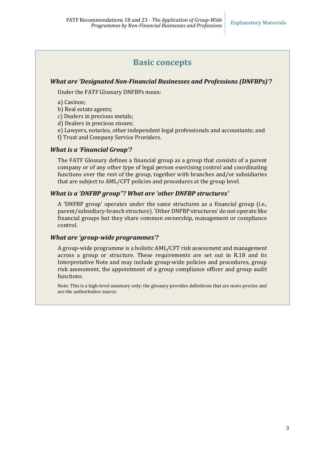### **Basic concepts**

### *What are 'Designated Non-Financial Businesses and Professions (DNFBPs)'?*

Under the FATF Glossary DNFBPs mean:

a) Casinos;

b) Real estate agents;

c) Dealers in precious metals;

d) Dealers in precious stones;

e) Lawyers, notaries, other independent legal professionals and accountants; and

f) Trust and Company Service Providers.

#### *What is a 'Financial Group'?*

The FATF Glossary defines a financial group as a group that consists of a parent company or of any other type of legal person exercising control and coordinating functions over the rest of the group, together with branches and/or subsidiaries that are subject to AML/CFT policies and procedures at the group level.

#### *What is a 'DNFBP group''? What are 'other DNFBP structures'*

A 'DNFBP group' operates under the same structures as a financial group (i.e., parent/subsidiary-branch structure). 'Other DNFBP structures' do not operate like financial groups but they share common ownership, management or compliance control.

#### *What are 'group-wide programmes'?*

A group-wide programme is a holistic AML/CFT risk assessment and management across a group or structure. These requirements are set out in R.18 and its Interpretative Note and may include group-wide policies and procedures, group risk assessment, the appointment of a group compliance officer and group audit functions.

Note: This is a high-level summary only; the glossary provides definitions that are more precise and are the authoritative source.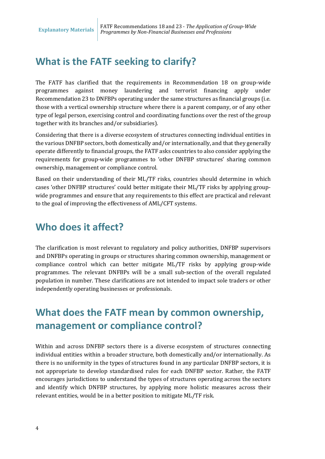## **What is the FATF seeking to clarify?**

The FATF has clarified that the requirements in Recommendation 18 on group-wide programmes against money laundering and terrorist financing apply under Recommendation 23 to DNFBPs operating under the same structures as financial groups (i.e. those with a vertical ownership structure where there is a parent company, or of any other type of legal person, exercising control and coordinating functions over the rest of the group together with its branches and/or subsidiaries).

Considering that there is a diverse ecosystem of structures connecting individual entities in the various DNFBP sectors, both domestically and/or internationally, and that they generally operate differently to financial groups, the FATF asks countries to also consider applying the requirements for group-wide programmes to 'other DNFBP structures' sharing common ownership, management or compliance control.

Based on their understanding of their ML/TF risks, countries should determine in which cases 'other DNFBP structures' could better mitigate their ML/TF risks by applying groupwide programmes and ensure that any requirements to this effect are practical and relevant to the goal of improving the effectiveness of AML/CFT systems.

## **Who does it affect?**

The clarification is most relevant to regulatory and policy authorities, DNFBP supervisors and DNFBPs operating in groups or structures sharing common ownership, management or compliance control which can better mitigate ML/TF risks by applying group-wide programmes. The relevant DNFBPs will be a small sub-section of the overall regulated population in number. These clarifications are not intended to impact sole traders or other independently operating businesses or professionals.

## **What does the FATF mean by common ownership, management or compliance control?**

Within and across DNFBP sectors there is a diverse ecosystem of structures connecting individual entities within a broader structure, both domestically and/or internationally. As there is no uniformity in the types of structures found in any particular DNFBP sectors, it is not appropriate to develop standardised rules for each DNFBP sector. Rather, the FATF encourages jurisdictions to understand the types of structures operating across the sectors and identify which DNFBP structures, by applying more holistic measures across their relevant entities, would be in a better position to mitigate ML/TF risk.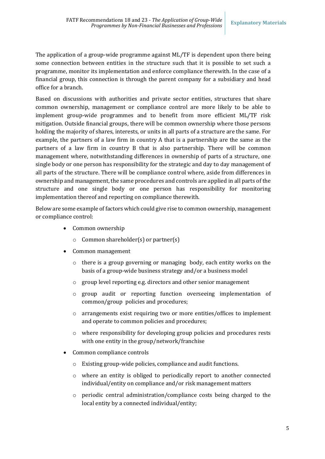The application of a group-wide programme against ML/TF is dependent upon there being some connection between entities in the structure such that it is possible to set such a programme, monitor its implementation and enforce compliance therewith. In the case of a financial group, this connection is through the parent company for a subsidiary and head office for a branch.

Based on discussions with authorities and private sector entities, structures that share common ownership, management or compliance control are more likely to be able to implement group-wide programmes and to benefit from more efficient ML/TF risk mitigation. Outside financial groups, there will be common ownership where those persons holding the majority of shares, interests, or units in all parts of a structure are the same. For example, the partners of a law firm in country A that is a partnership are the same as the partners of a law firm in country B that is also partnership. There will be common management where, notwithstanding differences in ownership of parts of a structure, one single body or one person has responsibility for the strategic and day to day management of all parts of the structure. There will be compliance control where, aside from differences in ownership and management, the same procedures and controls are applied in all parts of the structure and one single body or one person has responsibility for monitoring implementation thereof and reporting on compliance therewith.

Below are some example of factors which could give rise to common ownership, management or compliance control:

- Common ownership
	- o Common shareholder(s) or partner(s)
- Common management
	- o there is a group governing or managing body, each entity works on the basis of a group-wide business strategy and/or a business model
	- o group level reporting e.g. directors and other senior management
	- o group audit or reporting function overseeing implementation of common/group policies and procedures;
	- o arrangements exist requiring two or more entities/offices to implement and operate to common policies and procedures;
	- o where responsibility for developing group policies and procedures rests with one entity in the group/network/franchise
- Common compliance controls
	- o Existing group-wide policies, compliance and audit functions.
	- o where an entity is obliged to periodically report to another connected individual/entity on compliance and/or risk management matters
	- o periodic central administration/compliance costs being charged to the local entity by a connected individual/entity;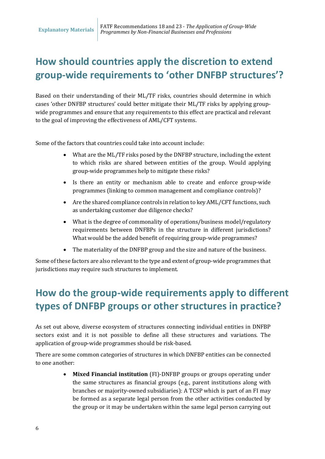# **How should countries apply the discretion to extend group-wide requirements to 'other DNFBP structures'?**

Based on their understanding of their ML/TF risks, countries should determine in which cases 'other DNFBP structures' could better mitigate their ML/TF risks by applying groupwide programmes and ensure that any requirements to this effect are practical and relevant to the goal of improving the effectiveness of AML/CFT systems.

<span id="page-5-0"></span>Some of the factors that countries could take into account include:

- What are the ML/TF risks posed by the DNFBP structure, including the extent to which risks are shared between entities of the group. Would applying group-wide programmes help to mitigate these risks?
- Is there an entity or mechanism able to create and enforce group-wide programmes (linking to common management and compliance controls)?
- Are the shared compliance controls in relation to key AML/CFT functions, such as undertaking customer due diligence checks?
- What is the degree of commonality of operations/business model/regulatory requirements between DNFBPs in the structure in different jurisdictions? What would be the added benefit of requiring group-wide programmes?
- The materiality of the DNFBP group and the size and nature of the business.

Some of these factors are also relevant to the type and extent of group-wide programmes that jurisdictions may require such structures to implement.

## **How do the group-wide requirements apply to different types of DNFBP groups or other structures in practice?**

As set out above, diverse ecosystem of structures connecting individual entities in DNFBP sectors exist and it is not possible to define all these structures and variations. The application of group-wide programmes should be risk-based.

There are some common categories of structures in which DNFBP entities can be connected to one another:

> • **Mixed Financial institution** (FI)-DNFBP groups or groups operating under the same structures as financial groups (e.g., parent institutions along with branches or majority-owned subsidiaries): A TCSP which is part of an FI may be formed as a separate legal person from the other activities conducted by the group or it may be undertaken within the same legal person carrying out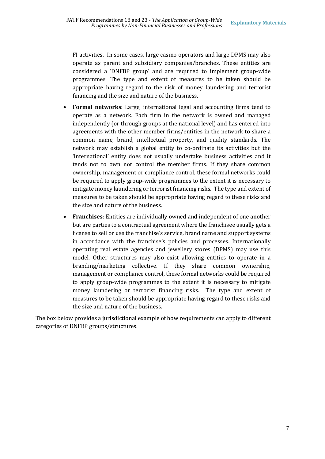FI activities. In some cases, large casino operators and large DPMS may also operate as parent and subsidiary companies/branches. These entities are considered a 'DNFBP group' and are required to implement group-wide programmes. The type and extent of measures to be taken should be appropriate having regard to the risk of money laundering and terrorist financing and the size and nature of the business.

- **Formal networks**: Large, international legal and accounting firms tend to operate as a network. Each firm in the network is owned and managed independently (or through groups at the national level) and has entered into agreements with the other member firms/entities in the network to share a common name, brand, intellectual property, and quality standards. The network may establish a global entity to co-ordinate its activities but the 'international' entity does not usually undertake business activities and it tends not to own nor control the member firms. If they share common ownership, management or compliance control, these formal networks could be required to apply group-wide programmes to the extent it is necessary to mitigate money laundering or terrorist financing risks. The type and extent of measures to be taken should be appropriate having regard to these risks and the size and nature of the business.
- **Franchises**: Entities are individually owned and independent of one another but are parties to a contractual agreement where the franchisee usually gets a license to sell or use the franchise's service, brand name and support systems in accordance with the franchise's policies and processes. Internationally operating real estate agencies and jewellery stores (DPMS) may use this model. Other structures may also exist allowing entities to operate in a branding/marketing collective. If they share common ownership, management or compliance control, these formal networks could be required to apply group-wide programmes to the extent it is necessary to mitigate money laundering or terrorist financing risks. The type and extent of measures to be taken should be appropriate having regard to these risks and the size and nature of the business.

The box below provides a jurisdictional example of how requirements can apply to different categories of DNFBP groups/structures.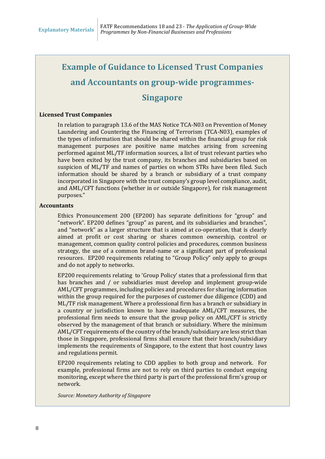### **Example of Guidance to Licensed Trust Companies**

### **and Accountants on group-wide programmes-**

### **Singapore**

#### **Licensed Trust Companies**

In relation to paragraph 13.6 of the MAS Notice TCA-N03 on Prevention of Money Laundering and Countering the Financing of Terrorism (TCA-N03), examples of the types of information that should be shared within the financial group for risk management purposes are positive name matches arising from screening performed against ML/TF information sources, a list of trust relevant parties who have been exited by the trust company, its branches and subsidiaries based on suspicion of ML/TF and names of parties on whom STRs have been filed. Such information should be shared by a branch or subsidiary of a trust company incorporated in Singapore with the trust company's group level compliance, audit, and AML/CFT functions (whether in or outside Singapore), for risk management purposes."

#### **Accountants**

Ethics Pronouncement 200 (EP200) has separate definitions for "group" and "network". EP200 defines "group" as parent, and its subsidiaries and branches", and "network" as a larger structure that is aimed at co-operation, that is clearly aimed at profit or cost sharing or shares common ownership, control or management, common quality control policies and procedures, common business strategy, the use of a common brand-name or a significant part of professional resources. EP200 requirements relating to "Group Policy" only apply to groups and do not apply to networks.

EP200 requirements relating to 'Group Policy' states that a professional firm that has branches and / or subsidiaries must develop and implement group-wide AML/CFT programmes, including policies and procedures for sharing information within the group required for the purposes of customer due diligence (CDD) and ML/TF risk management. Where a professional firm has a branch or subsidiary in a country or jurisdiction known to have inadequate AML/CFT measures, the professional firm needs to ensure that the group policy on AML/CFT is strictly observed by the management of that branch or subsidiary. Where the minimum AML/CFT requirements of the country of the branch/subsidiary are less strict than those in Singapore, professional firms shall ensure that their branch/subsidiary implements the requirements of Singapore, to the extent that host country laws and regulations permit.

EP200 requirements relating to CDD applies to both group and network. For example, professional firms are not to rely on third parties to conduct ongoing monitoring, except where the third party is part of the professional firm's group or network.

*Source: Monetary Authority of Singapore*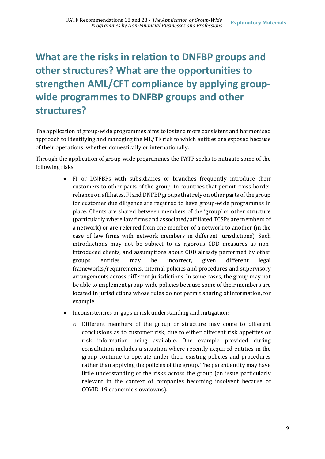# **What are the risks in relation to DNFBP groups and other structures? What are the opportunities to strengthen AML/CFT compliance by applying groupwide programmes to DNFBP groups and other structures?**

The application of group-wide programmes aims to foster a more consistent and harmonised approach to identifying and managing the ML/TF risk to which entities are exposed because of their operations, whether domestically or internationally.

Through the application of group-wide programmes the FATF seeks to mitigate some of the following risks:

- FI or DNFBPs with subsidiaries or branches frequently introduce their customers to other parts of the group. In countries that permit cross-border reliance on affiliates, FI and DNFBP groups that rely on other parts of the group for customer due diligence are required to have group-wide programmes in place. Clients are shared between members of the 'group' or other structure (particularly where law firms and associated/affiliated TCSPs are members of a network) or are referred from one member of a network to another (in the case of law firms with network members in different jurisdictions). Such introductions may not be subject to as rigorous CDD measures as nonintroduced clients, and assumptions about CDD already performed by other groups entities may be incorrect, given different legal frameworks/requirements, internal policies and procedures and supervisory arrangements across different jurisdictions. In some cases, the group may not be able to implement group-wide policies because some of their members are located in jurisdictions whose rules do not permit sharing of information, for example.
- Inconsistencies or gaps in risk understanding and mitigation:
	- o Different members of the group or structure may come to different conclusions as to customer risk, due to either different risk appetites or risk information being available. One example provided during consultation includes a situation where recently acquired entities in the group continue to operate under their existing policies and procedures rather than applying the policies of the group. The parent entity may have little understanding of the risks across the group (an issue particularly relevant in the context of companies becoming insolvent because of COVID-19 economic slowdowns).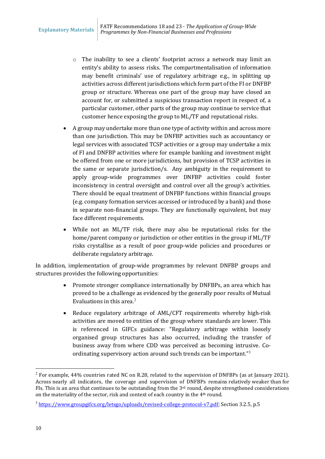- o The inability to see a clients' footprint across a network may limit an entity's ability to assess risks. The compartmentalisation of information may benefit criminals' use of regulatory arbitrage e.g., in splitting up activities across different jurisdictions which form part of the FI or DNFBP group or structure. Whereas one part of the group may have closed an account for, or submitted a suspicious transaction report in respect of, a particular customer, other parts of the group may continue to service that customer hence exposing the group to ML/TF and reputational risks.
- A group may undertake more than one type of activity within and across more than one jurisdiction. This may be DNFBP activities such as accountancy or legal services with associated TCSP activities or a group may undertake a mix of FI and DNFBP activities where for example banking and investment might be offered from one or more jurisdictions, but provision of TCSP activities in the same or separate jurisdiction/s. Any ambiguity in the requirement to apply group-wide programmes over DNFBP activities could foster inconsistency in central oversight and control over all the group's activities. There should be equal treatment of DNFBP functions within financial groups (e.g. company formation services accessed or introduced by a bank) and those in separate non-financial groups. They are functionally equivalent, but may face different requirements.
- While not an ML/TF risk, there may also be reputational risks for the home/parent company or jurisdiction or other entities in the group if ML/TF risks crystallise as a result of poor group-wide policies and procedures or deliberate regulatory arbitrage.

In addition, implementation of group-wide programmes by relevant DNFBP groups and structures provides the following opportunities:

- Promote stronger compliance internationally by DNFBPs, an area which has proved to be a challenge as evidenced by the generally poor results of Mutual Evaluations in this area. $2$
- Reduce regulatory arbitrage of AML/CFT requirements whereby high-risk activities are moved to entities of the group where standards are lower. This is referenced in GIFCs guidance: "Regulatory arbitrage within loosely organised group structures has also occurred, including the transfer of business away from where CDD was perceived as becoming intrusive. Coordinating supervisory action around such trends can be important."[3](#page-9-1)

<span id="page-9-0"></span> $^{2}$  For example, 44% countries rated NC on R.28, related to the supervision of DNFBPs (as at January 2021). Across nearly all indicators, the coverage and supervision of DNFBPs remains relatively weaker than for FIs. This is an area that continues to be outstanding from the 3<sup>rd</sup> round, despite strengthened considerations on the materiality of the sector, risk and context of each country in the 4th round.

<span id="page-9-1"></span><sup>&</sup>lt;sup>3</sup> [https://www.groupgifcs.org/letsgo/uploads/revised-college-protocol-v7.pdf;](https://www.groupgifcs.org/letsgo/uploads/revised-college-protocol-v7.pdf) Section 3.2.5, p.5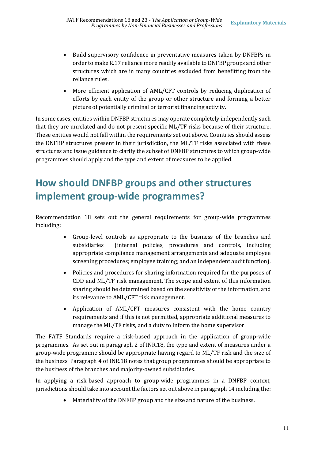- Build supervisory confidence in preventative measures taken by DNFBPs in order to make R.17 reliance more readily available to DNFBP groups and other structures which are in many countries excluded from benefitting from the reliance rules.
- More efficient application of AML/CFT controls by reducing duplication of efforts by each entity of the group or other structure and forming a better picture of potentially criminal or terrorist financing activity.

In some cases, entities within DNFBP structures may operate completely independently such that they are unrelated and do not present specific ML/TF risks because of their structure. These entities would not fall within the requirements set out above. Countries should assess the DNFBP structures present in their jurisdiction, the ML/TF risks associated with these structures and issue guidance to clarify the subset of DNFBP structures to which group-wide programmes should apply and the type and extent of measures to be applied.

# **How should DNFBP groups and other structures implement group-wide programmes?**

Recommendation 18 sets out the general requirements for group-wide programmes including:

- Group-level controls as appropriate to the business of the branches and subsidiaries (internal policies, procedures and controls, including appropriate compliance management arrangements and adequate employee screening procedures; employee training; and an independent audit function).
- Policies and procedures for sharing information required for the purposes of CDD and ML/TF risk management. The scope and extent of this information sharing should be determined based on the sensitivity of the information, and its relevance to AML/CFT risk management.
- Application of AML/CFT measures consistent with the home country requirements and if this is not permitted, appropriate additional measures to manage the ML/TF risks, and a duty to inform the home supervisor.

The FATF Standards require a risk-based approach in the application of group-wide programmes. As set out in paragraph 2 of INR.18, the type and extent of measures under a group-wide programme should be appropriate having regard to ML/TF risk and the size of the business. Paragraph 4 of INR.18 notes that group programmes should be appropriate to the business of the branches and majority-owned subsidiaries.

In applying a risk-based approach to group-wide programmes in a DNFBP context, jurisdictions should take into account the factors set out above in paragrap[h 14](#page-5-0) including the:

• Materiality of the DNFBP group and the size and nature of the business.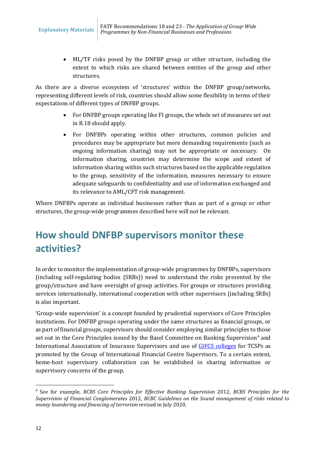• ML/TF risks posed by the DNFBP group or other structure, including the extent to which risks are shared between entities of the group and other structures.

As there are a diverse ecosystem of 'structures' within the DNFBP group/networks, representing different levels of risk, countries should allow some flexibility in terms of their expectations of different types of DNFBP groups.

- For DNFBP groups operating like FI groups, the whole set of measures set out in R.18 should apply.
- For DNFBPs operating within other structures, common policies and procedures may be appropriate but more demanding requirements (such as ongoing information sharing) may not be appropriate or necessary. On information sharing, countries may determine the scope and extent of information sharing within such structures based on the applicable regulation to the group, sensitivity of the information, measures necessary to ensure adequate safeguards to confidentiality and use of information exchanged and its relevance to AML/CFT risk management.

Where DNFBPs operate as individual businesses rather than as part of a group or other structures, the group-wide programmes described here will not be relevant.

# **How should DNFBP supervisors monitor these activities?**

In order to monitor the implementation of group-wide programmes by DNFBPs, supervisors (including self-regulating bodies (SRBs)) need to understand the risks presented by the group/structure and have oversight of group activities. For groups or structures providing services internationally, international cooperation with other supervisors (including SRBs) is also important.

'Group-wide supervision' is a concept founded by prudential supervisors of Core Principles institutions. For DNFBP groups operating under the same structures as financial groups, or as part of financial groups, supervisors should consider employing similar principles to those set out in the Core Principles issued by the Basel Committee on Banking Supervision<sup>[4](#page-11-0)</sup> and International Association of Insurance Supervisors and use of [GIFCS colleges](https://www.groupgifcs.org/letsgo/uploads/revised-college-protocol-v7.pdf) for TCSPs as promoted by the Group of International Financial Centre Supervisors. To a certain extent, home-host supervisory collaboration can be established in sharing information or supervisory concerns of the group.

<span id="page-11-0"></span> <sup>4</sup> See for example, *BCBS Core Principles for Effective Banking Supervision* 2012, *BCBS Principles for the Supervision of Financial Conglomerates* 2012, *BCBC Guidelines on the Sound management of risks related to money laundering and financing of terrorism* revised in July 2020.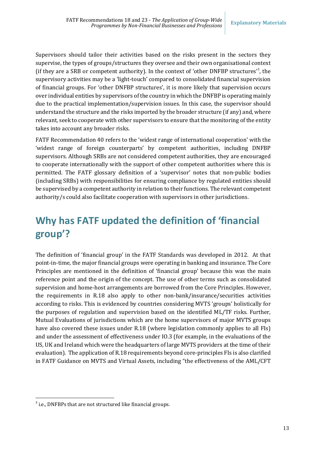Supervisors should tailor their activities based on the risks present in the sectors they supervise, the types of groups/structures they oversee and their own organisational context (if they are a SRB or competent authority). In the context of 'other DNFBP structures'[5](#page-12-0) , the supervisory activities may be a 'light-touch' compared to consolidated financial supervision of financial groups. For 'other DNFBP structures', it is more likely that supervision occurs over individual entities by supervisors of the country in which the DNFBP is operating mainly due to the practical implementation/supervision issues. In this case, the supervisor should understand the structure and the risks imported by the broader structure (if any) and, where relevant, seek to cooperate with other supervisors to ensure that the monitoring of the entity takes into account any broader risks.

FATF Recommendation 40 refers to the 'widest range of international cooperation' with the 'widest range of foreign counterparts' by competent authorities, including DNFBP supervisors. Although SRBs are not considered competent authorities, they are encouraged to cooperate internationally with the support of other competent authorities where this is permitted. The FATF glossary definition of a 'supervisor' notes that non-public bodies (including SRBs) with responsibilities for ensuring compliance by regulated entities should be supervised by a competent authority in relation to their functions. The relevant competent authority/s could also facilitate cooperation with supervisors in other jurisdictions.

# **Why has FATF updated the definition of 'financial group'?**

The definition of 'financial group' in the FATF Standards was developed in 2012. At that point-in-time, the major financial groups were operating in banking and insurance. The Core Principles are mentioned in the definition of 'financial group' because this was the main reference point and the origin of the concept. The use of other terms such as consolidated supervision and home-host arrangements are borrowed from the Core Principles. However, the requirements in R.18 also apply to other non-bank/insurance/securities activities according to risks. This is evidenced by countries considering MVTS 'groups' holistically for the purposes of regulation and supervision based on the identified ML/TF risks. Further, Mutual Evaluations of jurisdictions which are the home supervisors of major MVTS groups have also covered these issues under R.18 (where legislation commonly applies to all FIs) and under the assessment of effectiveness under IO.3 (for example, in the evaluations of the US, UK and Ireland which were the headquarters of large MVTS providers at the time of their evaluation). The application of R.18 requirements beyond core-principles FIs is also clarified in FATF Guidance on MVTS and Virtual Assets, including "the effectiveness of the AML/CFT

<span id="page-12-0"></span> $<sup>5</sup>$  i.e., DNFBPs that are not structured like financial groups.</sup>